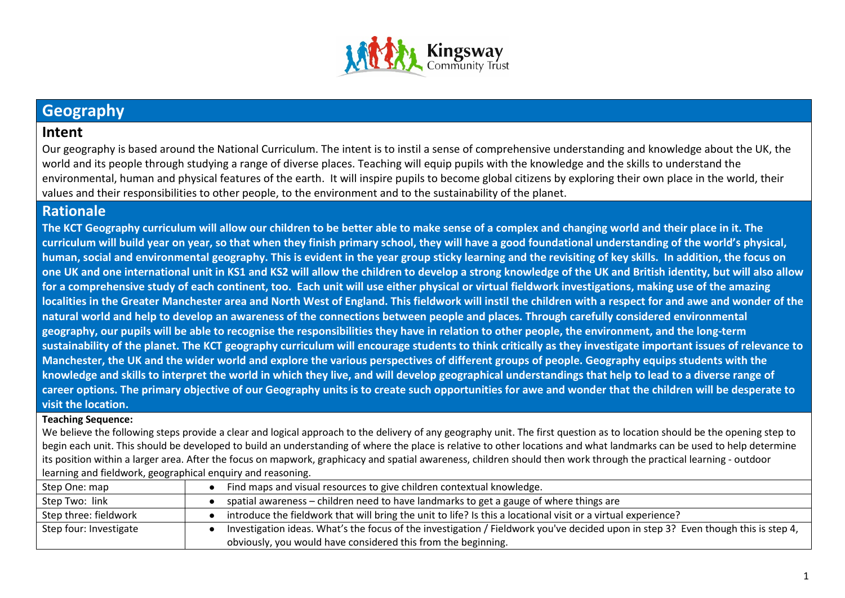

# **Geography**

# **Intent**

Our geography is based around the National Curriculum. The intent is to instil a sense of comprehensive understanding and knowledge about the UK, the world and its people through studying a range of diverse places. Teaching will equip pupils with the knowledge and the skills to understand the environmental, human and physical features of the earth. It will inspire pupils to become global citizens by exploring their own place in the world, their values and their responsibilities to other people, to the environment and to the sustainability of the planet.

# **Rationale**

**The KCT Geography curriculum will allow our children to be better able to make sense of a complex and changing world and their place in it. The curriculum will build year on year, so that when they finish primary school, they will have a good foundational understanding of the world's physical, human, social and environmental geography. This is evident in the year group sticky learning and the revisiting of key skills. In addition, the focus on one UK and one international unit in KS1 and KS2 will allow the children to develop a strong knowledge of the UK and British identity, but will also allow for a comprehensive study of each continent, too. Each unit will use either physical or virtual fieldwork investigations, making use of the amazing localities in the Greater Manchester area and North West of England. This fieldwork will instil the children with a respect for and awe and wonder of the natural world and help to develop an awareness of the connections between people and places. Through carefully considered environmental geography, our pupils will be able to recognise the responsibilities they have in relation to other people, the environment, and the long-term sustainability of the planet. The KCT geography curriculum will encourage students to think critically as they investigate important issues of relevance to Manchester, the UK and the wider world and explore the various perspectives of different groups of people. Geography equips students with the knowledge and skills to interpret the world in which they live, and will develop geographical understandings that help to lead to a diverse range of career options. The primary objective of our Geography units is to create such opportunities for awe and wonder that the children will be desperate to visit the location.** 

#### **Teaching Sequence:**

We believe the following steps provide a clear and logical approach to the delivery of any geography unit. The first question as to location should be the opening step to begin each unit. This should be developed to build an understanding of where the place is relative to other locations and what landmarks can be used to help determine its position within a larger area. After the focus on mapwork, graphicacy and spatial awareness, children should then work through the practical learning - outdoor learning and fieldwork, geographical enquiry and reasoning.

| Step One: map          | Find maps and visual resources to give children contextual knowledge.                                                             |  |
|------------------------|-----------------------------------------------------------------------------------------------------------------------------------|--|
| Step Two: link         | spatial awareness - children need to have landmarks to get a gauge of where things are                                            |  |
| Step three: fieldwork  | introduce the fieldwork that will bring the unit to life? Is this a locational visit or a virtual experience?                     |  |
| Step four: Investigate | Investigation ideas. What's the focus of the investigation / Fieldwork you've decided upon in step 3? Even though this is step 4, |  |
|                        | obviously, you would have considered this from the beginning.                                                                     |  |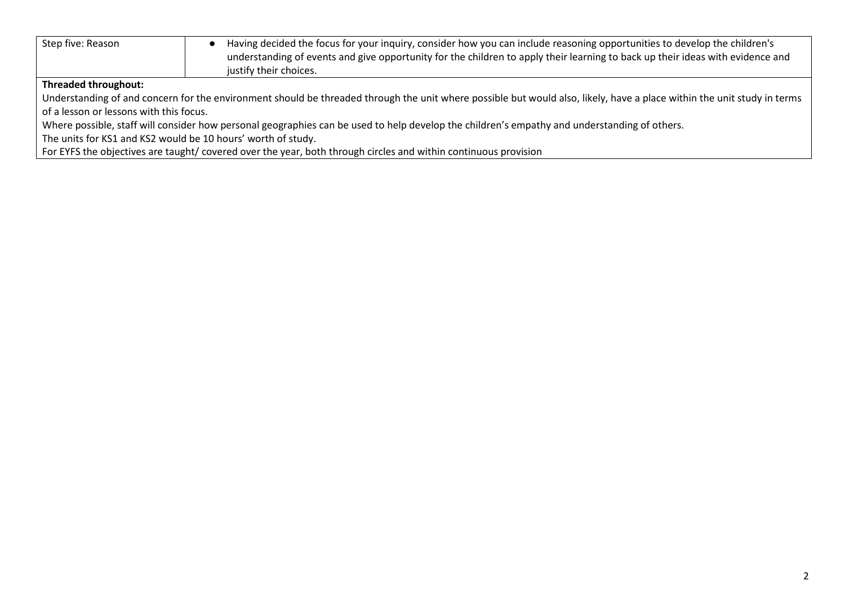| Step five: Reason                                                                                                                                                       | Having decided the focus for your inquiry, consider how you can include reasoning opportunities to develop the children's<br>understanding of events and give opportunity for the children to apply their learning to back up their ideas with evidence and<br>justify their choices. |  |
|-------------------------------------------------------------------------------------------------------------------------------------------------------------------------|---------------------------------------------------------------------------------------------------------------------------------------------------------------------------------------------------------------------------------------------------------------------------------------|--|
| Threaded throughout:                                                                                                                                                    |                                                                                                                                                                                                                                                                                       |  |
| Understanding of and concern for the environment should be threaded through the unit where possible but would also, likely, have a place within the unit study in terms |                                                                                                                                                                                                                                                                                       |  |
| of a lesson or lessons with this focus.                                                                                                                                 |                                                                                                                                                                                                                                                                                       |  |
| Where possible, staff will consider how personal geographies can be used to help develop the children's empathy and understanding of others.                            |                                                                                                                                                                                                                                                                                       |  |
| The units for KS1 and KS2 would be 10 hours' worth of study.                                                                                                            |                                                                                                                                                                                                                                                                                       |  |
| For EYFS the objectives are taught/covered over the year, both through circles and within continuous provision                                                          |                                                                                                                                                                                                                                                                                       |  |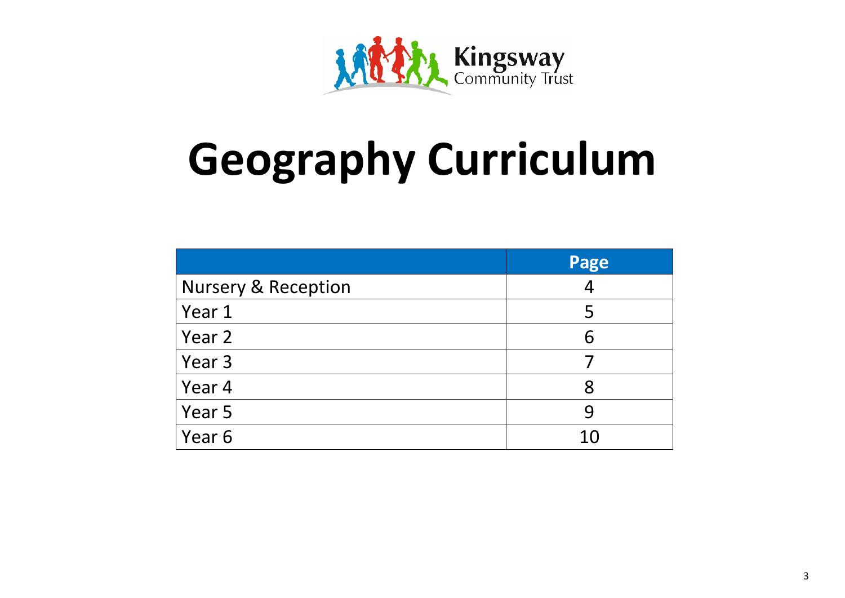

# **Geography Curriculum**

|                                | Page           |
|--------------------------------|----------------|
| <b>Nursery &amp; Reception</b> | $\overline{A}$ |
| Year 1                         | 5              |
| Year 2                         | 6              |
| Year 3                         |                |
| Year 4                         | 8              |
| Year 5                         | 9              |
| Year 6                         | 10             |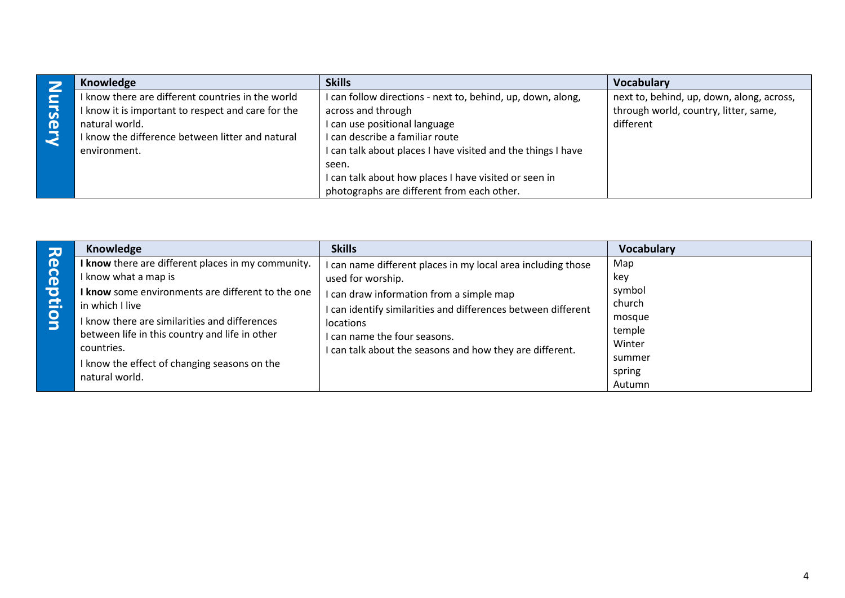|                       | Knowledge                                          | <b>Skills</b>                                                | <b>Vocabulary</b>                         |
|-----------------------|----------------------------------------------------|--------------------------------------------------------------|-------------------------------------------|
|                       | I know there are different countries in the world  | I can follow directions - next to, behind, up, down, along,  | next to, behind, up, down, along, across, |
| $\overline{a}$        | I know it is important to respect and care for the | across and through                                           | through world, country, litter, same,     |
| $\boldsymbol{\sigma}$ | natural world.                                     | I can use positional language                                | different                                 |
|                       | I know the difference between litter and natural   | I can describe a familiar route                              |                                           |
|                       | environment.                                       | I can talk about places I have visited and the things I have |                                           |
|                       |                                                    | seen.                                                        |                                           |
|                       |                                                    | I can talk about how places I have visited or seen in        |                                           |
|                       |                                                    | photographs are different from each other.                   |                                           |

| 고                     | Knowledge                                          | <b>Skills</b>                                                 | Vocabulary |
|-----------------------|----------------------------------------------------|---------------------------------------------------------------|------------|
| $\boldsymbol{\sigma}$ | I know there are different places in my community. | can name different places in my local area including those    | Map        |
| ခြ                    | I know what a map is                               | used for worship.                                             | kev        |
| $\overline{\bullet}$  | I know some environments are different to the one  | I can draw information from a simple map                      | symbol     |
| Ξ.                    | in which I live                                    | I can identify similarities and differences between different | church     |
| $\bullet$<br>$\Box$   | I know there are similarities and differences      | <i>locations</i>                                              | mosque     |
|                       | between life in this country and life in other     | I can name the four seasons.                                  | temple     |
|                       | countries.                                         | I can talk about the seasons and how they are different.      | Winter     |
|                       | I know the effect of changing seasons on the       |                                                               | summer     |
|                       | natural world.                                     |                                                               | spring     |
|                       |                                                    |                                                               | Autumn     |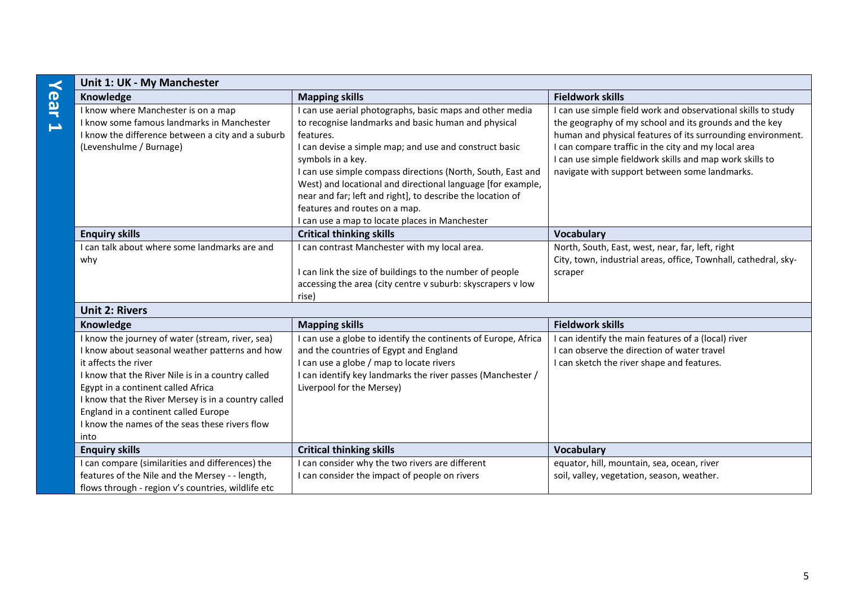| $\prec$                  | Unit 1: UK - My Manchester                          |                                                              |                                                                 |
|--------------------------|-----------------------------------------------------|--------------------------------------------------------------|-----------------------------------------------------------------|
| ear                      | Knowledge                                           | <b>Mapping skills</b>                                        | <b>Fieldwork skills</b>                                         |
|                          | I know where Manchester is on a map                 | can use aerial photographs, basic maps and other media       | can use simple field work and observational skills to study     |
| $\overline{\phantom{0}}$ | I know some famous landmarks in Manchester          | to recognise landmarks and basic human and physical          | the geography of my school and its grounds and the key          |
|                          | I know the difference between a city and a suburb   | features.                                                    | human and physical features of its surrounding environment.     |
|                          | (Levenshulme / Burnage)                             | can devise a simple map; and use and construct basic         | I can compare traffic in the city and my local area             |
|                          |                                                     | symbols in a key.                                            | I can use simple fieldwork skills and map work skills to        |
|                          |                                                     | can use simple compass directions (North, South, East and    | navigate with support between some landmarks.                   |
|                          |                                                     | West) and locational and directional language [for example,  |                                                                 |
|                          |                                                     | near and far; left and right], to describe the location of   |                                                                 |
|                          |                                                     | features and routes on a map.                                |                                                                 |
|                          |                                                     | can use a map to locate places in Manchester                 |                                                                 |
|                          | <b>Enquiry skills</b>                               | <b>Critical thinking skills</b>                              | <b>Vocabulary</b>                                               |
|                          | I can talk about where some landmarks are and       | can contrast Manchester with my local area.                  | North, South, East, west, near, far, left, right                |
|                          | why                                                 |                                                              | City, town, industrial areas, office, Townhall, cathedral, sky- |
|                          |                                                     | I can link the size of buildings to the number of people     | scraper                                                         |
|                          |                                                     | accessing the area (city centre v suburb: skyscrapers v low  |                                                                 |
|                          |                                                     | rise)                                                        |                                                                 |
|                          | <b>Unit 2: Rivers</b>                               |                                                              |                                                                 |
|                          | Knowledge                                           | <b>Mapping skills</b>                                        | <b>Fieldwork skills</b>                                         |
|                          | I know the journey of water (stream, river, sea)    | can use a globe to identify the continents of Europe, Africa | can identify the main features of a (local) river               |
|                          | I know about seasonal weather patterns and how      | and the countries of Egypt and England                       | I can observe the direction of water travel                     |
|                          | it affects the river                                | can use a globe / map to locate rivers                       | I can sketch the river shape and features.                      |
|                          | I know that the River Nile is in a country called   | can identify key landmarks the river passes (Manchester /    |                                                                 |
|                          | Egypt in a continent called Africa                  | Liverpool for the Mersey)                                    |                                                                 |
|                          | I know that the River Mersey is in a country called |                                                              |                                                                 |

**Enquiry skills Critical thinking skills Critical Execution 2008 Vocabulary Vocabulary** 

I can consider why the two rivers are different I can consider the impact of people on rivers

England in a continent called Europe

into

I know the names of the seas these rivers flow

I can compare (similarities and differences) the features of the Nile and the Mersey - - length, flows through - region v's countries, wildlife etc equator, hill, mountain, sea, ocean, river soil, valley, vegetation, season, weather.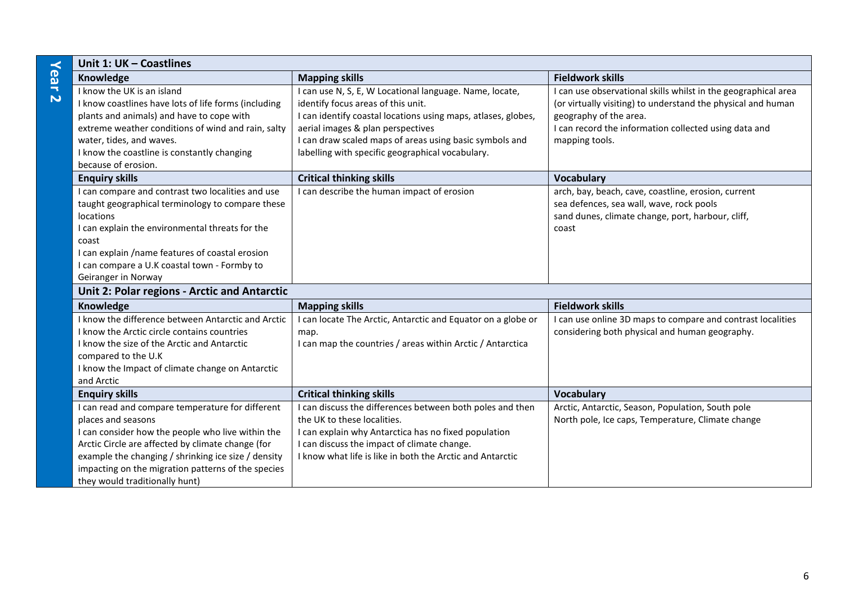|                         | Unit 1: UK - Coastlines                                                                                                                                                                                                                                                                                                         |                                                                                                                                                                                                                                                                                                                    |                                                                                                                                                                                                                                     |  |
|-------------------------|---------------------------------------------------------------------------------------------------------------------------------------------------------------------------------------------------------------------------------------------------------------------------------------------------------------------------------|--------------------------------------------------------------------------------------------------------------------------------------------------------------------------------------------------------------------------------------------------------------------------------------------------------------------|-------------------------------------------------------------------------------------------------------------------------------------------------------------------------------------------------------------------------------------|--|
| Year                    | Knowledge                                                                                                                                                                                                                                                                                                                       | <b>Mapping skills</b>                                                                                                                                                                                                                                                                                              | <b>Fieldwork skills</b>                                                                                                                                                                                                             |  |
| $\overline{\mathsf{N}}$ | I know the UK is an island<br>I know coastlines have lots of life forms (including<br>plants and animals) and have to cope with<br>extreme weather conditions of wind and rain, salty<br>water, tides, and waves.<br>I know the coastline is constantly changing<br>because of erosion.                                         | I can use N, S, E, W Locational language. Name, locate,<br>identify focus areas of this unit.<br>I can identify coastal locations using maps, atlases, globes,<br>aerial images & plan perspectives<br>I can draw scaled maps of areas using basic symbols and<br>labelling with specific geographical vocabulary. | I can use observational skills whilst in the geographical area<br>(or virtually visiting) to understand the physical and human<br>geography of the area.<br>I can record the information collected using data and<br>mapping tools. |  |
|                         | <b>Enquiry skills</b>                                                                                                                                                                                                                                                                                                           | <b>Critical thinking skills</b>                                                                                                                                                                                                                                                                                    | <b>Vocabulary</b>                                                                                                                                                                                                                   |  |
|                         | I can compare and contrast two localities and use<br>taught geographical terminology to compare these<br>locations<br>I can explain the environmental threats for the<br>coast<br>I can explain /name features of coastal erosion<br>I can compare a U.K coastal town - Formby to<br>Geiranger in Norway                        | I can describe the human impact of erosion                                                                                                                                                                                                                                                                         | arch, bay, beach, cave, coastline, erosion, current<br>sea defences, sea wall, wave, rock pools<br>sand dunes, climate change, port, harbour, cliff,<br>coast                                                                       |  |
|                         | Unit 2: Polar regions - Arctic and Antarctic                                                                                                                                                                                                                                                                                    |                                                                                                                                                                                                                                                                                                                    |                                                                                                                                                                                                                                     |  |
|                         | Knowledge                                                                                                                                                                                                                                                                                                                       | <b>Mapping skills</b>                                                                                                                                                                                                                                                                                              | <b>Fieldwork skills</b>                                                                                                                                                                                                             |  |
|                         | I know the difference between Antarctic and Arctic<br>I know the Arctic circle contains countries<br>I know the size of the Arctic and Antarctic<br>compared to the U.K<br>I know the Impact of climate change on Antarctic<br>and Arctic                                                                                       | I can locate The Arctic, Antarctic and Equator on a globe or<br>map.<br>I can map the countries / areas within Arctic / Antarctica                                                                                                                                                                                 | I can use online 3D maps to compare and contrast localities<br>considering both physical and human geography.                                                                                                                       |  |
|                         | <b>Enquiry skills</b>                                                                                                                                                                                                                                                                                                           | <b>Critical thinking skills</b>                                                                                                                                                                                                                                                                                    | <b>Vocabulary</b>                                                                                                                                                                                                                   |  |
|                         | I can read and compare temperature for different<br>places and seasons<br>I can consider how the people who live within the<br>Arctic Circle are affected by climate change (for<br>example the changing / shrinking ice size / density<br>impacting on the migration patterns of the species<br>they would traditionally hunt) | I can discuss the differences between both poles and then<br>the UK to these localities.<br>I can explain why Antarctica has no fixed population<br>I can discuss the impact of climate change.<br>I know what life is like in both the Arctic and Antarctic                                                       | Arctic, Antarctic, Season, Population, South pole<br>North pole, Ice caps, Temperature, Climate change                                                                                                                              |  |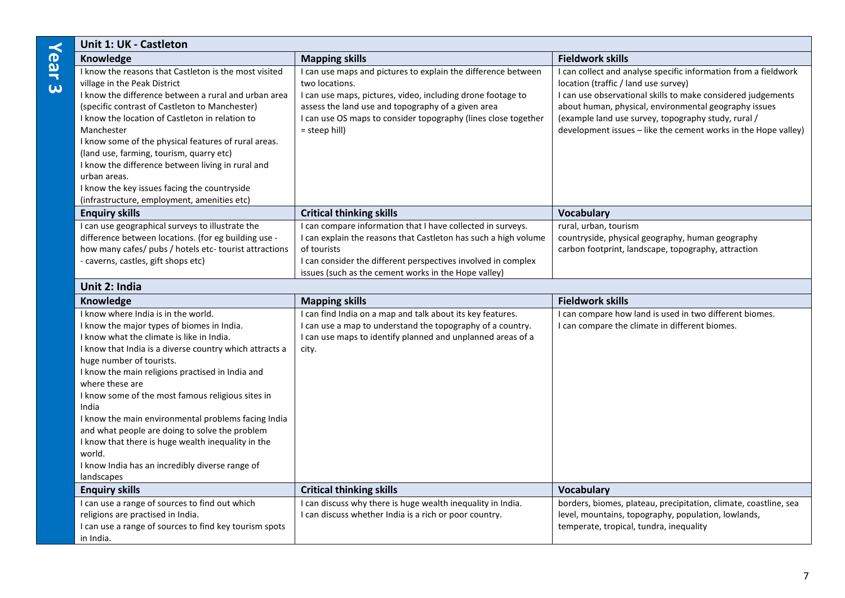| <b>Unit 1: UK - Castleton</b>                                                                                                                                                                                                                                                                                                                                                                                                                                                                                                                                                                        |                                                                                                                                                                                                                                                                                         |                                                                                                                                                                                                                                                                                                                                                           |  |
|------------------------------------------------------------------------------------------------------------------------------------------------------------------------------------------------------------------------------------------------------------------------------------------------------------------------------------------------------------------------------------------------------------------------------------------------------------------------------------------------------------------------------------------------------------------------------------------------------|-----------------------------------------------------------------------------------------------------------------------------------------------------------------------------------------------------------------------------------------------------------------------------------------|-----------------------------------------------------------------------------------------------------------------------------------------------------------------------------------------------------------------------------------------------------------------------------------------------------------------------------------------------------------|--|
| Knowledge                                                                                                                                                                                                                                                                                                                                                                                                                                                                                                                                                                                            | <b>Mapping skills</b>                                                                                                                                                                                                                                                                   | <b>Fieldwork skills</b>                                                                                                                                                                                                                                                                                                                                   |  |
| I know the reasons that Castleton is the most visited<br>village in the Peak District<br>I know the difference between a rural and urban area<br>(specific contrast of Castleton to Manchester)<br>I know the location of Castleton in relation to<br>Manchester<br>I know some of the physical features of rural areas.<br>(land use, farming, tourism, quarry etc)<br>I know the difference between living in rural and<br>urban areas.<br>I know the key issues facing the countryside<br>(infrastructure, employment, amenities etc)                                                             | I can use maps and pictures to explain the difference between<br>two locations.<br>I can use maps, pictures, video, including drone footage to<br>assess the land use and topography of a given area<br>I can use OS maps to consider topography (lines close together<br>= steep hill) | I can collect and analyse specific information from a fieldwork<br>location (traffic / land use survey)<br>I can use observational skills to make considered judgements<br>about human, physical, environmental geography issues<br>(example land use survey, topography study, rural /<br>development issues - like the cement works in the Hope valley) |  |
| <b>Enquiry skills</b>                                                                                                                                                                                                                                                                                                                                                                                                                                                                                                                                                                                | <b>Critical thinking skills</b>                                                                                                                                                                                                                                                         | <b>Vocabulary</b>                                                                                                                                                                                                                                                                                                                                         |  |
| I can use geographical surveys to illustrate the<br>difference between locations. (for eg building use -<br>how many cafes/ pubs / hotels etc- tourist attractions<br>- caverns, castles, gift shops etc)                                                                                                                                                                                                                                                                                                                                                                                            | I can compare information that I have collected in surveys.<br>I can explain the reasons that Castleton has such a high volume<br>of tourists<br>I can consider the different perspectives involved in complex<br>issues (such as the cement works in the Hope valley)                  | rural, urban, tourism<br>countryside, physical geography, human geography<br>carbon footprint, landscape, topography, attraction                                                                                                                                                                                                                          |  |
| Unit 2: India                                                                                                                                                                                                                                                                                                                                                                                                                                                                                                                                                                                        |                                                                                                                                                                                                                                                                                         |                                                                                                                                                                                                                                                                                                                                                           |  |
| Knowledge                                                                                                                                                                                                                                                                                                                                                                                                                                                                                                                                                                                            | <b>Mapping skills</b>                                                                                                                                                                                                                                                                   | <b>Fieldwork skills</b>                                                                                                                                                                                                                                                                                                                                   |  |
| I know where India is in the world.<br>I know the major types of biomes in India.<br>I know what the climate is like in India.<br>I know that India is a diverse country which attracts a<br>huge number of tourists.<br>I know the main religions practised in India and<br>where these are<br>I know some of the most famous religious sites in<br>India<br>I know the main environmental problems facing India<br>and what people are doing to solve the problem<br>I know that there is huge wealth inequality in the<br>world.<br>I know India has an incredibly diverse range of<br>landscapes | I can find India on a map and talk about its key features.<br>I can use a map to understand the topography of a country.<br>I can use maps to identify planned and unplanned areas of a<br>city.                                                                                        | I can compare how land is used in two different biomes.<br>I can compare the climate in different biomes.                                                                                                                                                                                                                                                 |  |
| <b>Enquiry skills</b>                                                                                                                                                                                                                                                                                                                                                                                                                                                                                                                                                                                | <b>Critical thinking skills</b>                                                                                                                                                                                                                                                         | <b>Vocabulary</b>                                                                                                                                                                                                                                                                                                                                         |  |
| I can use a range of sources to find out which<br>religions are practised in India.<br>I can use a range of sources to find key tourism spots<br>in India.                                                                                                                                                                                                                                                                                                                                                                                                                                           | I can discuss why there is huge wealth inequality in India.<br>I can discuss whether India is a rich or poor country.                                                                                                                                                                   | borders, biomes, plateau, precipitation, climate, coastline, sea<br>level, mountains, topography, population, lowlands,<br>temperate, tropical, tundra, inequality                                                                                                                                                                                        |  |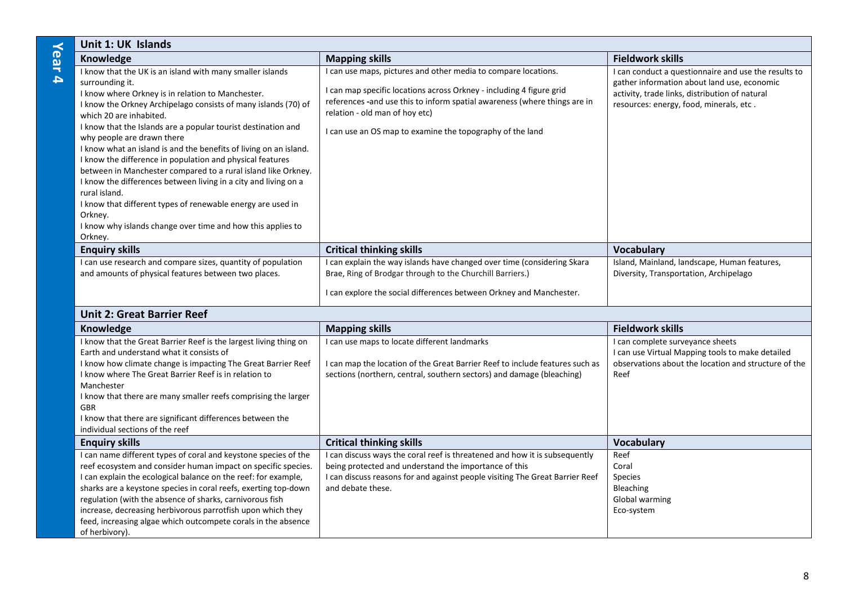|          | Unit 1: UK Islands                                                                                                                                                                                                                                                                                                                                                                                                                                                                                                                                                                                                                                                                                                                                                       |                                                                                                                                                                                                                                                                                                                    |                                                                                                                                                                                                  |
|----------|--------------------------------------------------------------------------------------------------------------------------------------------------------------------------------------------------------------------------------------------------------------------------------------------------------------------------------------------------------------------------------------------------------------------------------------------------------------------------------------------------------------------------------------------------------------------------------------------------------------------------------------------------------------------------------------------------------------------------------------------------------------------------|--------------------------------------------------------------------------------------------------------------------------------------------------------------------------------------------------------------------------------------------------------------------------------------------------------------------|--------------------------------------------------------------------------------------------------------------------------------------------------------------------------------------------------|
|          | Knowledge                                                                                                                                                                                                                                                                                                                                                                                                                                                                                                                                                                                                                                                                                                                                                                | <b>Mapping skills</b>                                                                                                                                                                                                                                                                                              | <b>Fieldwork skills</b>                                                                                                                                                                          |
| ear<br>4 | I know that the UK is an island with many smaller islands<br>surrounding it.<br>I know where Orkney is in relation to Manchester.<br>I know the Orkney Archipelago consists of many islands (70) of<br>which 20 are inhabited.<br>I know that the Islands are a popular tourist destination and<br>why people are drawn there<br>I know what an island is and the benefits of living on an island.<br>I know the difference in population and physical features<br>between in Manchester compared to a rural island like Orkney.<br>I know the differences between living in a city and living on a<br>rural island.<br>I know that different types of renewable energy are used in<br>Orkney.<br>I know why islands change over time and how this applies to<br>Orkney. | I can use maps, pictures and other media to compare locations.<br>I can map specific locations across Orkney - including 4 figure grid<br>references -and use this to inform spatial awareness (where things are in<br>relation - old man of hoy etc)<br>I can use an OS map to examine the topography of the land | I can conduct a questionnaire and use the results to<br>gather information about land use, economic<br>activity, trade links, distribution of natural<br>resources: energy, food, minerals, etc. |
|          | <b>Enquiry skills</b>                                                                                                                                                                                                                                                                                                                                                                                                                                                                                                                                                                                                                                                                                                                                                    | <b>Critical thinking skills</b>                                                                                                                                                                                                                                                                                    | <b>Vocabulary</b>                                                                                                                                                                                |
|          | I can use research and compare sizes, quantity of population<br>and amounts of physical features between two places.                                                                                                                                                                                                                                                                                                                                                                                                                                                                                                                                                                                                                                                     | I can explain the way islands have changed over time (considering Skara<br>Brae, Ring of Brodgar through to the Churchill Barriers.)<br>I can explore the social differences between Orkney and Manchester.                                                                                                        | Island, Mainland, landscape, Human features,<br>Diversity, Transportation, Archipelago                                                                                                           |

### **Unit 2: Great Barrier Reef**

| Knowledge                                                         | <b>Mapping skills</b>                                                      | <b>Fieldwork skills</b>                              |
|-------------------------------------------------------------------|----------------------------------------------------------------------------|------------------------------------------------------|
| I know that the Great Barrier Reef is the largest living thing on | can use maps to locate different landmarks                                 | I can complete surveyance sheets                     |
| Earth and understand what it consists of                          |                                                                            | I can use Virtual Mapping tools to make detailed     |
| I know how climate change is impacting The Great Barrier Reef     | can map the location of the Great Barrier Reef to include features such as | observations about the location and structure of the |
| I know where The Great Barrier Reef is in relation to             | sections (northern, central, southern sectors) and damage (bleaching)      | Reef                                                 |
| Manchester                                                        |                                                                            |                                                      |
| I know that there are many smaller reefs comprising the larger    |                                                                            |                                                      |
| <b>GBR</b>                                                        |                                                                            |                                                      |
| I know that there are significant differences between the         |                                                                            |                                                      |
| individual sections of the reef                                   |                                                                            |                                                      |
| <b>Enquiry skills</b>                                             | <b>Critical thinking skills</b>                                            | <b>Vocabulary</b>                                    |
| I can name different types of coral and keystone species of the   | can discuss ways the coral reef is threatened and how it is subsequently   | Reef                                                 |
| reef ecosystem and consider human impact on specific species.     | being protected and understand the importance of this                      | Coral                                                |
| I can explain the ecological balance on the reef: for example,    | can discuss reasons for and against people visiting The Great Barrier Reef | <b>Species</b>                                       |
| sharks are a keystone species in coral reefs, exerting top-down   | and debate these.                                                          | <b>Bleaching</b>                                     |
| regulation (with the absence of sharks, carnivorous fish          |                                                                            | Global warming                                       |
| increase, decreasing herbivorous parrotfish upon which they       |                                                                            | Eco-system                                           |
| feed, increasing algae which outcompete corals in the absence     |                                                                            |                                                      |
| of herbivory).                                                    |                                                                            |                                                      |

8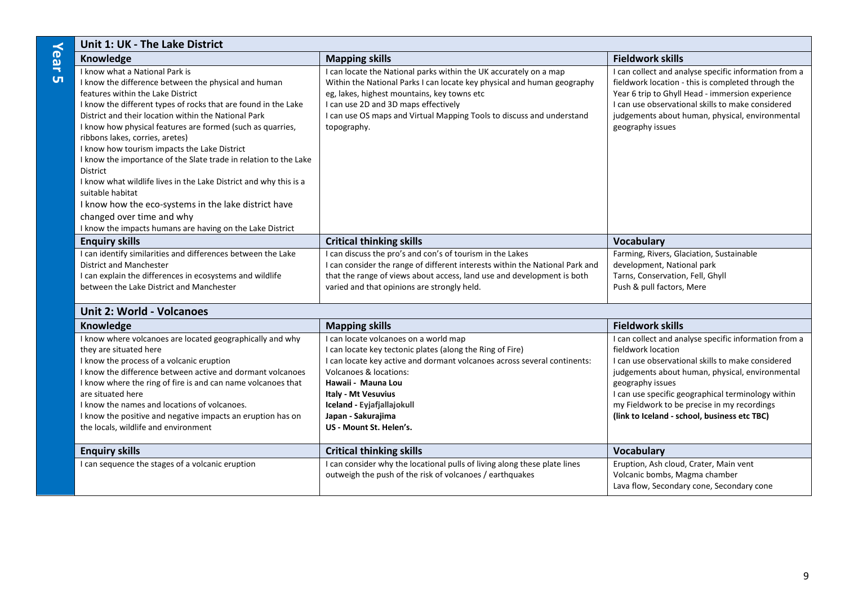|        | Unit 1: UK - The Lake District                                    |                                                                              |                                                       |
|--------|-------------------------------------------------------------------|------------------------------------------------------------------------------|-------------------------------------------------------|
| ര<br>ല | Knowledge                                                         | <b>Mapping skills</b>                                                        | <b>Fieldwork skills</b>                               |
| ₹      | I know what a National Park is                                    | can locate the National parks within the UK accurately on a map              | I can collect and analyse specific information from a |
| UП     | I know the difference between the physical and human              | Within the National Parks I can locate key physical and human geography      | fieldwork location - this is completed through the    |
|        | features within the Lake District                                 | eg, lakes, highest mountains, key towns etc                                  | Year 6 trip to Ghyll Head - immersion experience      |
|        | I know the different types of rocks that are found in the Lake    | I can use 2D and 3D maps effectively                                         | I can use observational skills to make considered     |
|        | District and their location within the National Park              | I can use OS maps and Virtual Mapping Tools to discuss and understand        | judgements about human, physical, environmental       |
|        | I know how physical features are formed (such as quarries,        | topography.                                                                  | geography issues                                      |
|        | ribbons lakes, corries, aretes)                                   |                                                                              |                                                       |
|        | I know how tourism impacts the Lake District                      |                                                                              |                                                       |
|        | I know the importance of the Slate trade in relation to the Lake  |                                                                              |                                                       |
|        | District                                                          |                                                                              |                                                       |
|        | I know what wildlife lives in the Lake District and why this is a |                                                                              |                                                       |
|        | suitable habitat                                                  |                                                                              |                                                       |
|        | I know how the eco-systems in the lake district have              |                                                                              |                                                       |
|        | changed over time and why                                         |                                                                              |                                                       |
|        | I know the impacts humans are having on the Lake District         |                                                                              |                                                       |
|        | <b>Enquiry skills</b>                                             | <b>Critical thinking skills</b>                                              | <b>Vocabulary</b>                                     |
|        | I can identify similarities and differences between the Lake      | I can discuss the pro's and con's of tourism in the Lakes                    | Farming, Rivers, Glaciation, Sustainable              |
|        | District and Manchester                                           | I can consider the range of different interests within the National Park and | development, National park                            |
|        | I can explain the differences in ecosystems and wildlife          | that the range of views about access, land use and development is both       | Tarns, Conservation, Fell, Ghyll                      |
|        | between the Lake District and Manchester                          | varied and that opinions are strongly held.                                  | Push & pull factors, Mere                             |

#### **Unit 2: World - Volcanoes**

| Knowledge                                                    | <b>Mapping skills</b>                                                     | <b>Fieldwork skills</b>                               |
|--------------------------------------------------------------|---------------------------------------------------------------------------|-------------------------------------------------------|
| I know where volcanoes are located geographically and why    | I can locate volcanoes on a world map                                     | I can collect and analyse specific information from a |
| they are situated here                                       | I can locate key tectonic plates (along the Ring of Fire)                 | fieldwork location                                    |
| I know the process of a volcanic eruption                    | I can locate key active and dormant volcanoes across several continents:  | I can use observational skills to make considered     |
| I know the difference between active and dormant volcanoes   | Volcanoes & locations:                                                    | judgements about human, physical, environmental       |
| I know where the ring of fire is and can name volcanoes that | Hawaii - Mauna Lou                                                        | geography issues                                      |
| are situated here                                            | <b>Italy - Mt Vesuvius</b>                                                | I can use specific geographical terminology within    |
| I know the names and locations of volcanoes.                 | Iceland - Eviafiallajokull                                                | my Fieldwork to be precise in my recordings           |
| I know the positive and negative impacts an eruption has on  | Japan - Sakurajima                                                        | (link to Iceland - school, business etc TBC)          |
| the locals, wildlife and environment                         | US - Mount St. Helen's.                                                   |                                                       |
|                                                              |                                                                           |                                                       |
| <b>Enquiry skills</b>                                        | <b>Critical thinking skills</b>                                           | <b>Vocabulary</b>                                     |
| I can sequence the stages of a volcanic eruption             | I can consider why the locational pulls of living along these plate lines | Eruption, Ash cloud, Crater, Main vent                |
|                                                              | outweigh the push of the risk of volcanoes / earthquakes                  | Volcanic bombs, Magma chamber                         |
|                                                              |                                                                           | Lava flow, Secondary cone, Secondary cone             |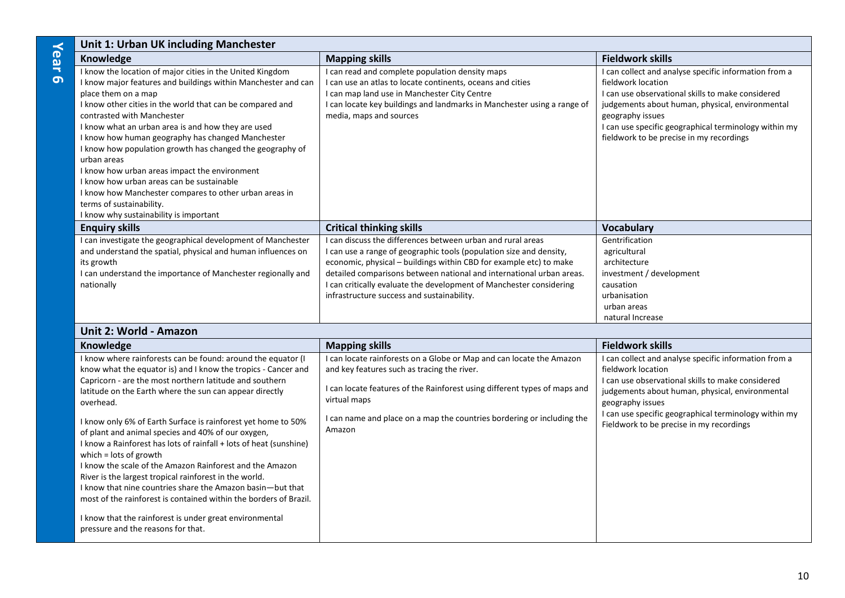| Unit 1: Urban UK including Manchester                                                                                                                                                                                                                                                                                                                                                                                                                                                                                                                                                                                                                                         |                                                                                                                                                                                                                                                                                                                                                                                                       |                                                                                                                                                                                                                                                                                                              |
|-------------------------------------------------------------------------------------------------------------------------------------------------------------------------------------------------------------------------------------------------------------------------------------------------------------------------------------------------------------------------------------------------------------------------------------------------------------------------------------------------------------------------------------------------------------------------------------------------------------------------------------------------------------------------------|-------------------------------------------------------------------------------------------------------------------------------------------------------------------------------------------------------------------------------------------------------------------------------------------------------------------------------------------------------------------------------------------------------|--------------------------------------------------------------------------------------------------------------------------------------------------------------------------------------------------------------------------------------------------------------------------------------------------------------|
| Knowledge                                                                                                                                                                                                                                                                                                                                                                                                                                                                                                                                                                                                                                                                     | <b>Mapping skills</b>                                                                                                                                                                                                                                                                                                                                                                                 | <b>Fieldwork skills</b>                                                                                                                                                                                                                                                                                      |
| I know the location of major cities in the United Kingdom<br>I know major features and buildings within Manchester and can<br>place them on a map<br>I know other cities in the world that can be compared and<br>contrasted with Manchester<br>I know what an urban area is and how they are used<br>I know how human geography has changed Manchester<br>I know how population growth has changed the geography of<br>urban areas<br>I know how urban areas impact the environment<br>I know how urban areas can be sustainable<br>I know how Manchester compares to other urban areas in<br>terms of sustainability.<br>I know why sustainability is important             | I can read and complete population density maps<br>I can use an atlas to locate continents, oceans and cities<br>I can map land use in Manchester City Centre<br>I can locate key buildings and landmarks in Manchester using a range of<br>media, maps and sources                                                                                                                                   | I can collect and analyse specific information from a<br>fieldwork location<br>I can use observational skills to make considered<br>judgements about human, physical, environmental<br>geography issues<br>I can use specific geographical terminology within my<br>fieldwork to be precise in my recordings |
| <b>Enquiry skills</b>                                                                                                                                                                                                                                                                                                                                                                                                                                                                                                                                                                                                                                                         | <b>Critical thinking skills</b>                                                                                                                                                                                                                                                                                                                                                                       | <b>Vocabulary</b>                                                                                                                                                                                                                                                                                            |
| I can investigate the geographical development of Manchester<br>and understand the spatial, physical and human influences on<br>its growth<br>I can understand the importance of Manchester regionally and<br>nationally                                                                                                                                                                                                                                                                                                                                                                                                                                                      | I can discuss the differences between urban and rural areas<br>I can use a range of geographic tools (population size and density,<br>economic, physical - buildings within CBD for example etc) to make<br>detailed comparisons between national and international urban areas.<br>I can critically evaluate the development of Manchester considering<br>infrastructure success and sustainability. | Gentrification<br>agricultural<br>architecture<br>investment / development<br>causation<br>urbanisation<br>urban areas<br>natural Increase                                                                                                                                                                   |
| Unit 2: World - Amazon                                                                                                                                                                                                                                                                                                                                                                                                                                                                                                                                                                                                                                                        |                                                                                                                                                                                                                                                                                                                                                                                                       |                                                                                                                                                                                                                                                                                                              |
| <b>Knowledge</b>                                                                                                                                                                                                                                                                                                                                                                                                                                                                                                                                                                                                                                                              | <b>Mapping skills</b>                                                                                                                                                                                                                                                                                                                                                                                 | <b>Fieldwork skills</b>                                                                                                                                                                                                                                                                                      |
| I know where rainforests can be found: around the equator (I<br>know what the equator is) and I know the tropics - Cancer and<br>Capricorn - are the most northern latitude and southern<br>latitude on the Earth where the sun can appear directly<br>overhead.<br>I know only 6% of Earth Surface is rainforest yet home to 50%<br>of plant and animal species and 40% of our oxygen,<br>I know a Rainforest has lots of rainfall + lots of heat (sunshine)<br>which $=$ lots of growth<br>I know the scale of the Amazon Rainforest and the Amazon<br>River is the largest tropical rainforest in the world.<br>I know that nine countries share the Amazon basin-but that | I can locate rainforests on a Globe or Map and can locate the Amazon<br>and key features such as tracing the river.<br>I can locate features of the Rainforest using different types of maps and<br>virtual maps<br>I can name and place on a map the countries bordering or including the<br>Amazon                                                                                                  | I can collect and analyse specific information from a<br>fieldwork location<br>I can use observational skills to make considered<br>judgements about human, physical, environmental<br>geography issues<br>I can use specific geographical terminology within my<br>Fieldwork to be precise in my recordings |
| most of the rainforest is contained within the borders of Brazil.<br>I know that the rainforest is under great environmental<br>pressure and the reasons for that.                                                                                                                                                                                                                                                                                                                                                                                                                                                                                                            |                                                                                                                                                                                                                                                                                                                                                                                                       |                                                                                                                                                                                                                                                                                                              |